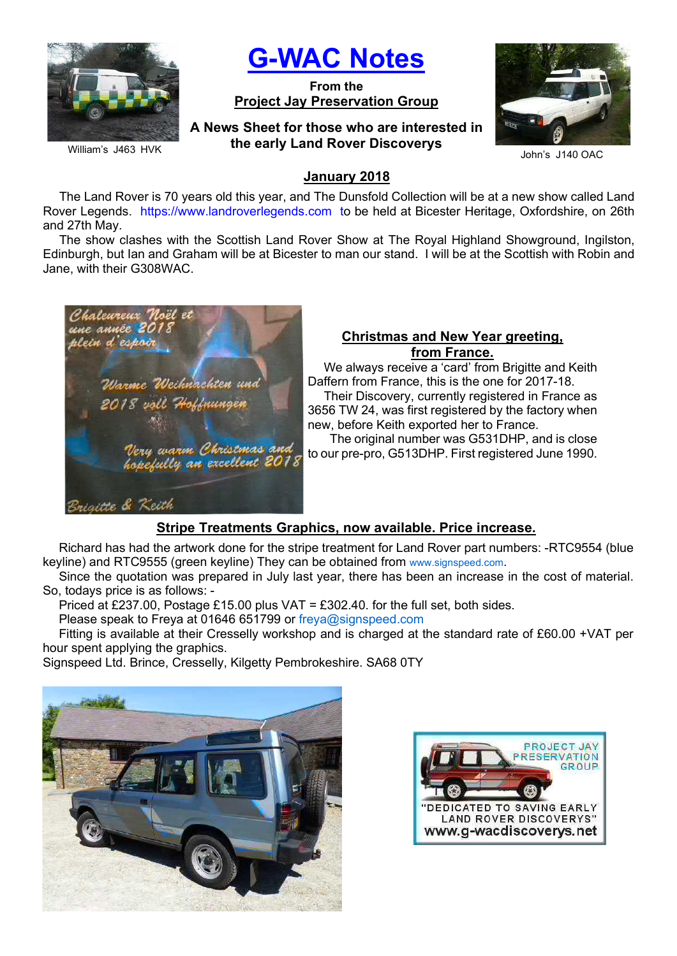

William's J463 HVK

# G-WAC Notes

From the Project Jay Preservation Group

A News Sheet for those who are interested in the early Land Rover Discoverys



John's J140 OAC

## January 2018

The Land Rover is 70 years old this year, and The Dunsfold Collection will be at a new show called Land Rover Legends. https://www.landroverlegends.com to be held at Bicester Heritage, Oxfordshire, on 26th and 27th May.

The show clashes with the Scottish Land Rover Show at The Royal Highland Showground, Ingilston, Edinburgh, but Ian and Graham will be at Bicester to man our stand. I will be at the Scottish with Robin and Jane, with their G308WAC.



## Christmas and New Year greeting, from France.

We always receive a 'card' from Brigitte and Keith Daffern from France, this is the one for 2017-18. Their Discovery, currently registered in France as 3656 TW 24, was first registered by the factory when new, before Keith exported her to France.

 The original number was G531DHP, and is close to our pre-pro, G513DHP. First registered June 1990.

# Stripe Treatments Graphics, now available. Price increase.

Richard has had the artwork done for the stripe treatment for Land Rover part numbers: -RTC9554 (blue keyline) and RTC9555 (green keyline) They can be obtained from www.signspeed.com.

Since the quotation was prepared in July last year, there has been an increase in the cost of material. So, todays price is as follows: -

Priced at £237.00, Postage £15.00 plus VAT = £302.40. for the full set, both sides.

Please speak to Freya at 01646 651799 or freya@signspeed.com

Fitting is available at their Cresselly workshop and is charged at the standard rate of £60.00 +VAT per hour spent applying the graphics.

Signspeed Ltd. Brince, Cresselly, Kilgetty Pembrokeshire. SA68 0TY



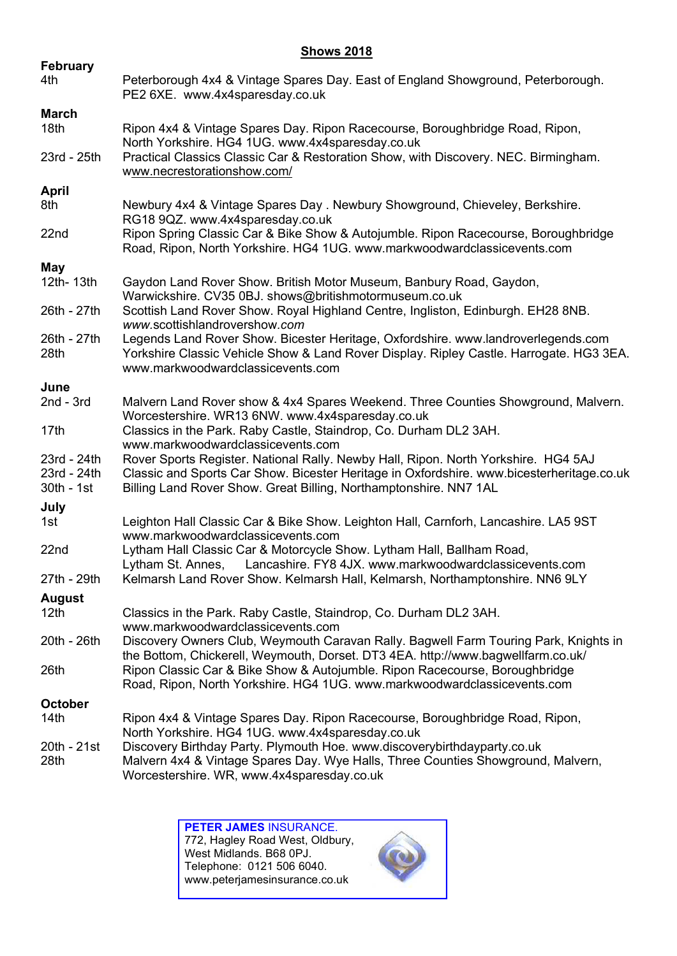#### **Shows 2018**

| <b>February</b>                          |                                                                                                                                                                                                                                                      |  |  |  |
|------------------------------------------|------------------------------------------------------------------------------------------------------------------------------------------------------------------------------------------------------------------------------------------------------|--|--|--|
| 4th                                      | Peterborough 4x4 & Vintage Spares Day. East of England Showground, Peterborough.<br>PE2 6XE. www.4x4sparesday.co.uk                                                                                                                                  |  |  |  |
| <b>March</b>                             |                                                                                                                                                                                                                                                      |  |  |  |
| 18th                                     | Ripon 4x4 & Vintage Spares Day. Ripon Racecourse, Boroughbridge Road, Ripon,<br>North Yorkshire. HG4 1UG. www.4x4sparesday.co.uk                                                                                                                     |  |  |  |
| 23rd - 25th                              | Practical Classics Classic Car & Restoration Show, with Discovery. NEC. Birmingham.<br>www.necrestorationshow.com/                                                                                                                                   |  |  |  |
| April                                    |                                                                                                                                                                                                                                                      |  |  |  |
| 8th                                      | Newbury 4x4 & Vintage Spares Day . Newbury Showground, Chieveley, Berkshire.<br>RG18 9QZ. www.4x4sparesday.co.uk                                                                                                                                     |  |  |  |
| 22nd                                     | Ripon Spring Classic Car & Bike Show & Autojumble. Ripon Racecourse, Boroughbridge<br>Road, Ripon, North Yorkshire. HG4 1UG. www.markwoodwardclassicevents.com                                                                                       |  |  |  |
| May                                      |                                                                                                                                                                                                                                                      |  |  |  |
| 12th- 13th                               | Gaydon Land Rover Show. British Motor Museum, Banbury Road, Gaydon,<br>Warwickshire. CV35 0BJ. shows@britishmotormuseum.co.uk                                                                                                                        |  |  |  |
| 26th - 27th                              | Scottish Land Rover Show. Royal Highland Centre, Ingliston, Edinburgh. EH28 8NB.<br>www.scottishlandrovershow.com                                                                                                                                    |  |  |  |
| 26th - 27th<br>28th                      | Legends Land Rover Show. Bicester Heritage, Oxfordshire. www.landroverlegends.com<br>Yorkshire Classic Vehicle Show & Land Rover Display. Ripley Castle. Harrogate. HG3 3EA.<br>www.markwoodwardclassicevents.com                                    |  |  |  |
| June                                     |                                                                                                                                                                                                                                                      |  |  |  |
| $2nd - 3rd$                              | Malvern Land Rover show & 4x4 Spares Weekend. Three Counties Showground, Malvern.<br>Worcestershire. WR13 6NW. www.4x4sparesday.co.uk                                                                                                                |  |  |  |
| 17 <sub>th</sub>                         | Classics in the Park. Raby Castle, Staindrop, Co. Durham DL2 3AH.<br>www.markwoodwardclassicevents.com                                                                                                                                               |  |  |  |
| 23rd - 24th<br>23rd - 24th<br>30th - 1st | Rover Sports Register. National Rally. Newby Hall, Ripon. North Yorkshire. HG4 5AJ<br>Classic and Sports Car Show. Bicester Heritage in Oxfordshire. www.bicesterheritage.co.uk<br>Billing Land Rover Show. Great Billing, Northamptonshire. NN7 1AL |  |  |  |
| July                                     |                                                                                                                                                                                                                                                      |  |  |  |
| 1st                                      | Leighton Hall Classic Car & Bike Show. Leighton Hall, Carnforh, Lancashire. LA5 9ST<br>www.markwoodwardclassicevents.com                                                                                                                             |  |  |  |
| 22nd                                     | Lytham Hall Classic Car & Motorcycle Show. Lytham Hall, Ballham Road,<br>Lancashire. FY8 4JX. www.markwoodwardclassicevents.com<br>Lytham St. Annes,                                                                                                 |  |  |  |
| 27th - 29th                              | Kelmarsh Land Rover Show. Kelmarsh Hall, Kelmarsh, Northamptonshire. NN6 9LY                                                                                                                                                                         |  |  |  |
| <b>August</b>                            |                                                                                                                                                                                                                                                      |  |  |  |
| 12 <sub>th</sub>                         | Classics in the Park. Raby Castle, Staindrop, Co. Durham DL2 3AH.<br>www.markwoodwardclassicevents.com                                                                                                                                               |  |  |  |
| 20th - 26th                              | Discovery Owners Club, Weymouth Caravan Rally. Bagwell Farm Touring Park, Knights in<br>the Bottom, Chickerell, Weymouth, Dorset. DT3 4EA. http://www.bagwellfarm.co.uk/                                                                             |  |  |  |
| 26th                                     | Ripon Classic Car & Bike Show & Autojumble. Ripon Racecourse, Boroughbridge<br>Road, Ripon, North Yorkshire. HG4 1UG. www.markwoodwardclassicevents.com                                                                                              |  |  |  |
| <b>October</b>                           |                                                                                                                                                                                                                                                      |  |  |  |
| 14th                                     | Ripon 4x4 & Vintage Spares Day. Ripon Racecourse, Boroughbridge Road, Ripon,<br>North Yorkshire. HG4 1UG. www.4x4sparesday.co.uk                                                                                                                     |  |  |  |
| 20th - 21st<br>28th                      | Discovery Birthday Party. Plymouth Hoe. www.discoverybirthdayparty.co.uk<br>Malvern 4x4 & Vintage Spares Day. Wye Halls, Three Counties Showground, Malvern,<br>Worcestershire. WR, www.4x4sparesday.co.uk                                           |  |  |  |

PETER JAMES INSURANCE. 772, Hagley Road West, Oldbury, West Midlands. B68 0PJ. Telephone: 0121 506 6040. www.peterjamesinsurance.co.uk

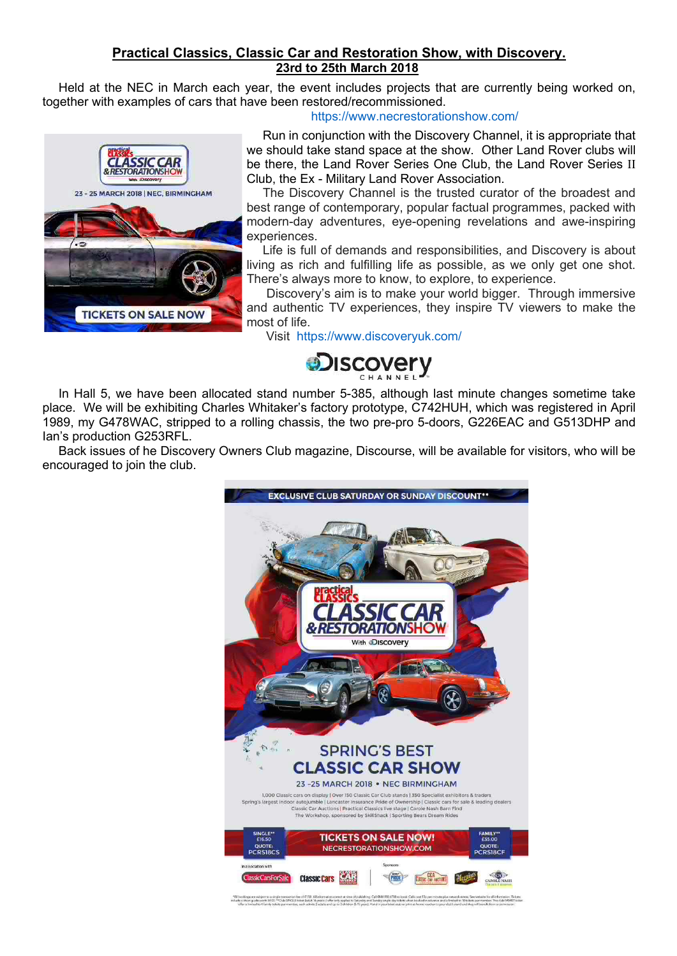## Practical Classics, Classic Car and Restoration Show, with Discovery. 23rd to 25th March 2018

Held at the NEC in March each year, the event includes projects that are currently being worked on, together with examples of cars that have been restored/recommissioned.



https://www.necrestorationshow.com/

Run in conjunction with the Discovery Channel, it is appropriate that we should take stand space at the show. Other Land Rover clubs will be there, the Land Rover Series One Club, the Land Rover Series II Club, the Ex - Military Land Rover Association.

The Discovery Channel is the trusted curator of the broadest and best range of contemporary, popular factual programmes, packed with modern-day adventures, eye-opening revelations and awe-inspiring experiences.

Life is full of demands and responsibilities, and Discovery is about living as rich and fulfilling life as possible, as we only get one shot. There's always more to know, to explore, to experience.

 Discovery's aim is to make your world bigger. Through immersive and authentic TV experiences, they inspire TV viewers to make the most of life.

Visit https://www.discoveryuk.com/



In Hall 5, we have been allocated stand number 5-385, although last minute changes sometime take place. We will be exhibiting Charles Whitaker's factory prototype, C742HUH, which was registered in April 1989, my G478WAC, stripped to a rolling chassis, the two pre-pro 5-doors, G226EAC and G513DHP and Ian's production G253RFL.

Back issues of he Discovery Owners Club magazine, Discourse, will be available for visitors, who will be encouraged to join the club.



are subject to a single transactice fee of £1.50. All information correct at time of public<br>guide worth £4.00. ^^Club SNGLE bebet liable 16 years+1 offer tonly opplies to Saturda<br>vand to 4 family tobels per member, each ad